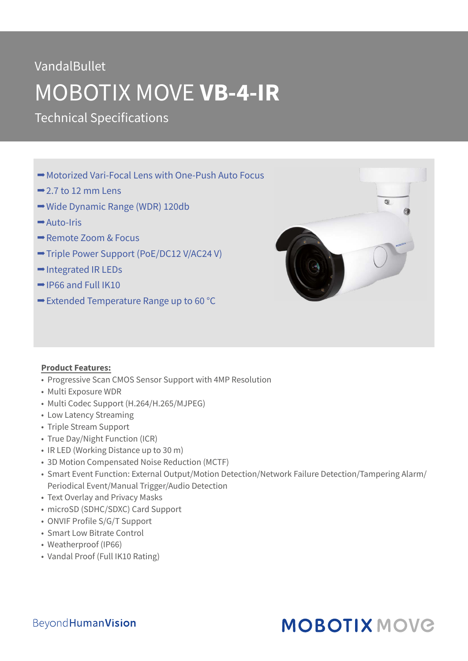# VandalBullet MOBOTIX MOVE **VB-4-IR**

Technical Specifications

- **→ Motorized Vari-Focal Lens with One-Push Auto Focus**
- $\rightarrow$  2.7 to 12 mm Lens
- **→ Wide Dynamic Range (WDR) 120db**
- Auto-Iris
- Remote Zoom & Focus
- Triple Power Support (PoE/DC12 V/AC24 V)
- **→ Integrated IR LEDs**
- $\rightarrow$  IP66 and Full IK10
- $\rightarrow$  **Extended Temperature Range up to 60 °C**



#### **Product Features:**

- Progressive Scan CMOS Sensor Support with 4MP Resolution
- Multi Exposure WDR
- Multi Codec Support (H.264/H.265/MJPEG)
- Low Latency Streaming
- Triple Stream Support
- True Day/Night Function (ICR)
- IR LED (Working Distance up to 30 m)
- 3D Motion Compensated Noise Reduction (MCTF)
- Smart Event Function: External Output/Motion Detection/Network Failure Detection/Tampering Alarm/ Periodical Event/Manual Trigger/Audio Detection
- Text Overlay and Privacy Masks
- microSD (SDHC/SDXC) Card Support
- ONVIF Profile S/G/T Support
- Smart Low Bitrate Control
- Weatherproof (IP66)
- Vandal Proof (Full IK10 Rating)

### **MOBOTIX MOVG**

#### **BeyondHumanVision**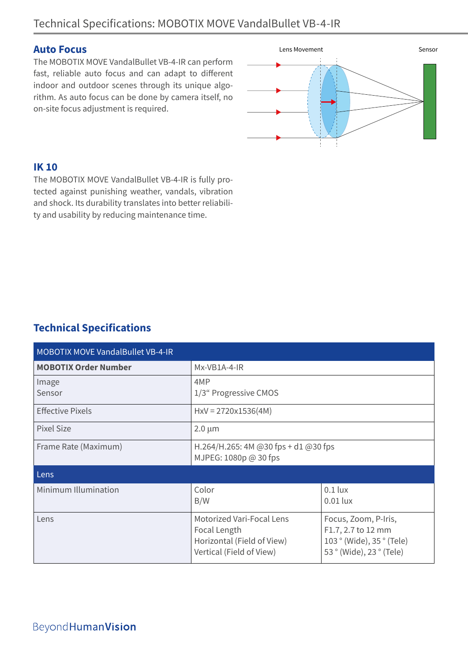#### **Auto Focus**

The MOBOTIX MOVE VandalBullet VB-4-IR can perform fast, reliable auto focus and can adapt to different indoor and outdoor scenes through its unique algorithm. As auto focus can be done by camera itself, no on-site focus adjustment is required.



#### **IK 10**

The MOBOTIX MOVE VandalBullet VB-4-IR is fully protected against punishing weather, vandals, vibration and shock. Its durability translates into better reliability and usability by reducing maintenance time.

### **Technical Specifications**

| <b>MOBOTIX MOVE VandalBullet VB-4-IR</b> |                                                                                                     |                                                                                                     |  |
|------------------------------------------|-----------------------------------------------------------------------------------------------------|-----------------------------------------------------------------------------------------------------|--|
| <b>MOBOTIX Order Number</b>              | Mx-VB1A-4-IR                                                                                        |                                                                                                     |  |
| Image<br>Sensor                          | 4MP<br>1/3" Progressive CMOS                                                                        |                                                                                                     |  |
| <b>Effective Pixels</b>                  | $HxV = 2720x1536(4M)$                                                                               |                                                                                                     |  |
| Pixel Size                               | $2.0 \mu m$                                                                                         |                                                                                                     |  |
| Frame Rate (Maximum)                     | H.264/H.265: 4M @30 fps + d1 @30 fps<br>MJPEG: 1080p @ 30 fps                                       |                                                                                                     |  |
| Lens                                     |                                                                                                     |                                                                                                     |  |
| Minimum Illumination                     | Color<br>B/W                                                                                        | $0.1$ lux<br>$0.01$ lux                                                                             |  |
| Lens                                     | Motorized Vari-Focal Lens<br>Focal Length<br>Horizontal (Field of View)<br>Vertical (Field of View) | Focus, Zoom, P-Iris,<br>F1.7, 2.7 to 12 mm<br>103 ° (Wide), 35 ° (Tele)<br>53 ° (Wide), 23 ° (Tele) |  |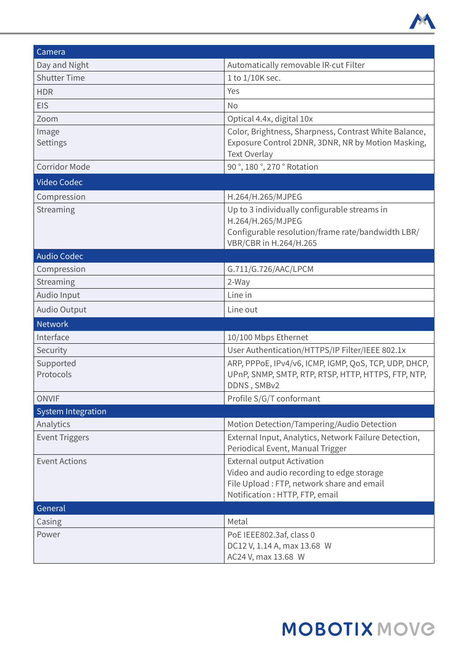

| Camera                    |                                                                                                                                                               |  |
|---------------------------|---------------------------------------------------------------------------------------------------------------------------------------------------------------|--|
| Day and Night             | Automatically removable IR-cut Filter                                                                                                                         |  |
| <b>Shutter Time</b>       | 1 to 1/10K sec.                                                                                                                                               |  |
| <b>HDR</b>                | Yes                                                                                                                                                           |  |
| <b>EIS</b>                | <b>No</b>                                                                                                                                                     |  |
| Zoom                      | Optical 4.4x, digital 10x                                                                                                                                     |  |
| Image<br>Settings         | Color, Brightness, Sharpness, Contrast White Balance,<br>Exposure Control 2DNR, 3DNR, NR by Motion Masking,<br><b>Text Overlay</b>                            |  |
| <b>Corridor Mode</b>      | 90°, 180°, 270° Rotation                                                                                                                                      |  |
| <b>Video Codec</b>        |                                                                                                                                                               |  |
| Compression               | H.264/H.265/MJPEG                                                                                                                                             |  |
| Streaming                 | Up to 3 individually configurable streams in<br>H.264/H.265/MJPEG<br>Configurable resolution/frame rate/bandwidth LBR/<br>VBR/CBR in H.264/H.265              |  |
| <b>Audio Codec</b>        |                                                                                                                                                               |  |
| Compression               | G.711/G.726/AAC/LPCM                                                                                                                                          |  |
| Streaming                 | 2-Way                                                                                                                                                         |  |
| Audio Input               | Line in                                                                                                                                                       |  |
| <b>Audio Output</b>       | Line out                                                                                                                                                      |  |
| <b>Network</b>            |                                                                                                                                                               |  |
| Interface                 | 10/100 Mbps Ethernet                                                                                                                                          |  |
| Security                  | User Authentication/HTTPS/IP Filter/IEEE 802.1x                                                                                                               |  |
| Supported<br>Protocols    | ARP, PPPOE, IPv4/v6, ICMP, IGMP, QoS, TCP, UDP, DHCP,<br>UPnP, SNMP, SMTP, RTP, RTSP, HTTP, HTTPS, FTP, NTP,<br>DDNS, SMBv2                                   |  |
| <b>ONVIF</b>              | Profile S/G/T conformant                                                                                                                                      |  |
| <b>System Integration</b> |                                                                                                                                                               |  |
| Analytics                 | Motion Detection/Tampering/Audio Detection                                                                                                                    |  |
| <b>Event Triggers</b>     | External Input, Analytics, Network Failure Detection,<br>Periodical Event, Manual Trigger                                                                     |  |
| <b>Event Actions</b>      | <b>External output Activation</b><br>Video and audio recording to edge storage<br>File Upload: FTP, network share and email<br>Notification: HTTP, FTP, email |  |
| General                   |                                                                                                                                                               |  |
| Casing                    | Metal                                                                                                                                                         |  |
| Power                     | PoE IEEE802.3af, class 0<br>DC12 V, 1.14 A, max 13.68 W<br>AC24 V, max 13.68 W                                                                                |  |

## **MOBOTIX MOVG**